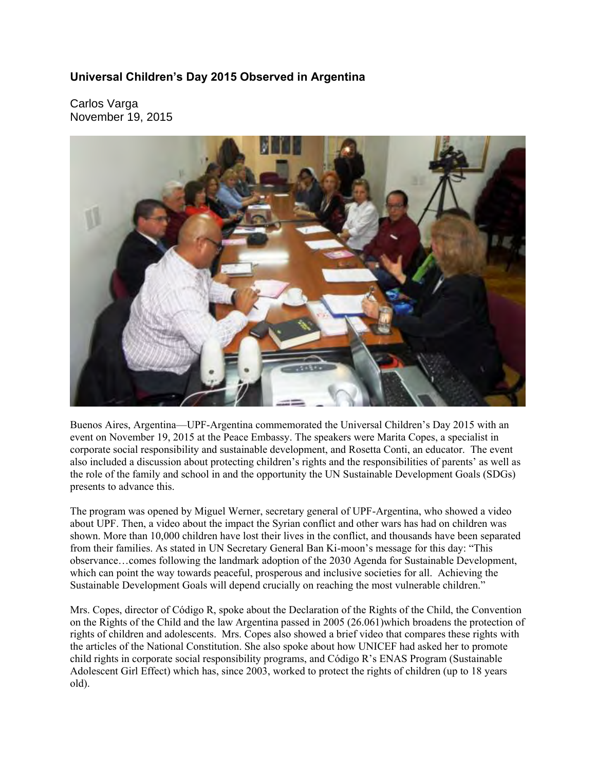## **Universal Children's Day 2015 Observed in Argentina**

Carlos Varga November 19, 2015



Buenos Aires, Argentina—UPF-Argentina commemorated the Universal Children's Day 2015 with an event on November 19, 2015 at the Peace Embassy. The speakers were Marita Copes, a specialist in corporate social responsibility and sustainable development, and Rosetta Conti, an educator. The event also included a discussion about protecting children's rights and the responsibilities of parents' as well as the role of the family and school in and the opportunity the UN Sustainable Development Goals (SDGs) presents to advance this.

The program was opened by Miguel Werner, secretary general of UPF-Argentina, who showed a video about UPF. Then, a video about the impact the Syrian conflict and other wars has had on children was shown. More than 10,000 children have lost their lives in the conflict, and thousands have been separated from their families. As stated in UN Secretary General Ban Ki-moon's message for this day: "This observance…comes following the landmark adoption of the 2030 Agenda for Sustainable Development, which can point the way towards peaceful, prosperous and inclusive societies for all. Achieving the Sustainable Development Goals will depend crucially on reaching the most vulnerable children."

Mrs. Copes, director of Código R, spoke about the Declaration of the Rights of the Child, the Convention on the Rights of the Child and the law Argentina passed in 2005 (26.061)which broadens the protection of rights of children and adolescents. Mrs. Copes also showed a brief video that compares these rights with the articles of the National Constitution. She also spoke about how UNICEF had asked her to promote child rights in corporate social responsibility programs, and Código R's ENAS Program (Sustainable Adolescent Girl Effect) which has, since 2003, worked to protect the rights of children (up to 18 years old).